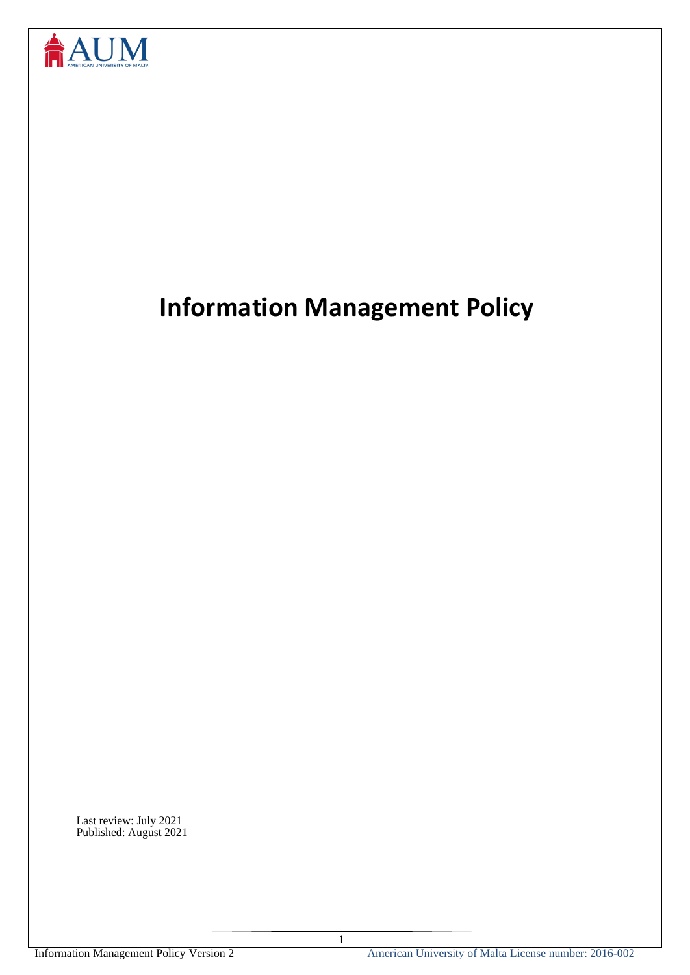

# **Information Management Policy**

Last review: July 2021 Published: August 2021

1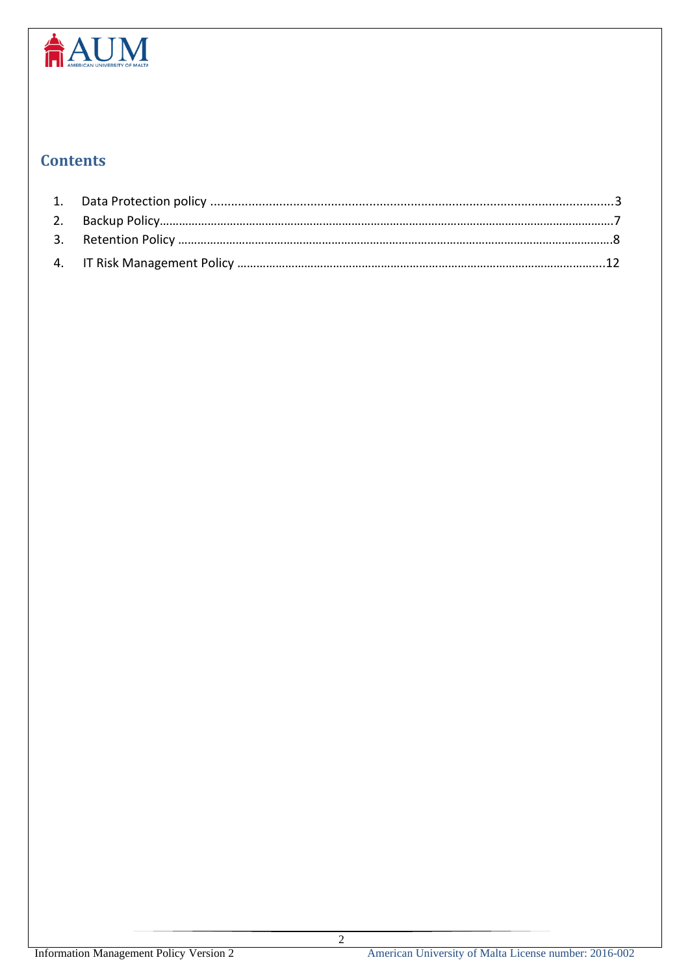

# **Contents**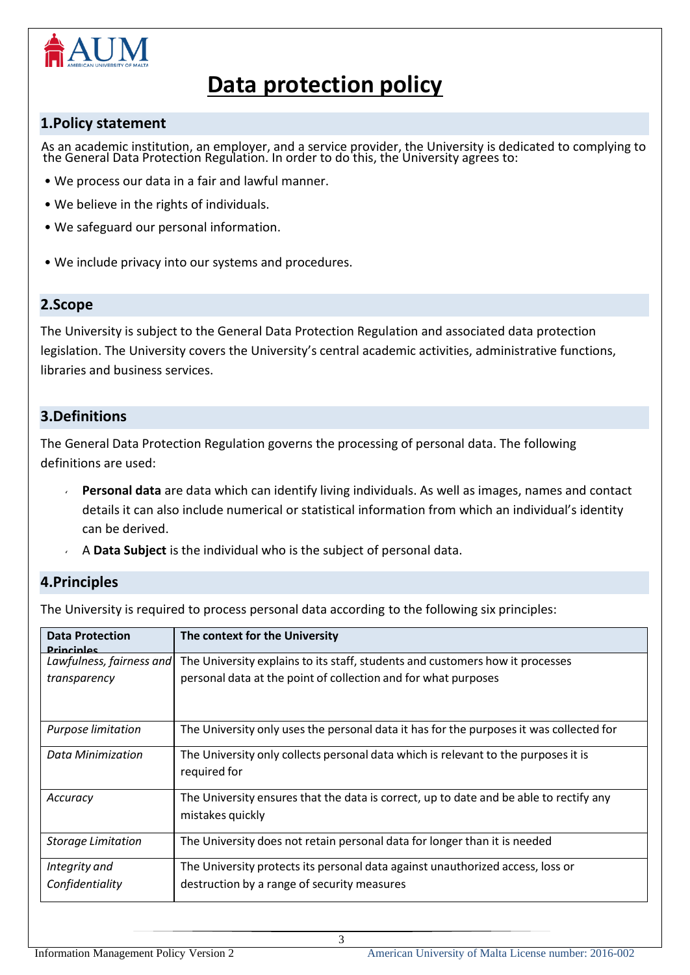

# **Data protection policy**

### **1.Policy statement**

 As an academic institution, an employer, and a service provider, the University is dedicated to complying to the General Data Protection Regulation. In order to do this, the University agrees to:

- We process our data in a fair and lawful manner.
- We believe in the rights of individuals.
- We safeguard our personal information.
- We include privacy into our systems and procedures.

### **2.Scope**

The University is subject to the General Data Protection Regulation and associated data protection legislation. The University covers the University's central academic activities, administrative functions, libraries and business services.

## **3.Definitions**

The General Data Protection Regulation governs the processing of personal data. The following definitions are used:

- **Personal data** are data which can identify living individuals. As well as images, names and contact details it can also include numerical or statistical information from which an individual's identity can be derived.
- A **Data Subject** is the individual who is the subject of personal data.

## **4.Principles**

The University is required to process personal data according to the following six principles:

| <b>Data Protection</b><br><b>Princinles</b> | The context for the University                                                                             |
|---------------------------------------------|------------------------------------------------------------------------------------------------------------|
| Lawfulness, fairness and                    | The University explains to its staff, students and customers how it processes                              |
| transparency                                | personal data at the point of collection and for what purposes                                             |
| Purpose limitation                          | The University only uses the personal data it has for the purposes it was collected for                    |
| Data Minimization                           | The University only collects personal data which is relevant to the purposes it is<br>required for         |
| Accuracy                                    | The University ensures that the data is correct, up to date and be able to rectify any<br>mistakes quickly |
| <b>Storage Limitation</b>                   | The University does not retain personal data for longer than it is needed                                  |
| Integrity and                               | The University protects its personal data against unauthorized access, loss or                             |
| Confidentiality                             | destruction by a range of security measures                                                                |

3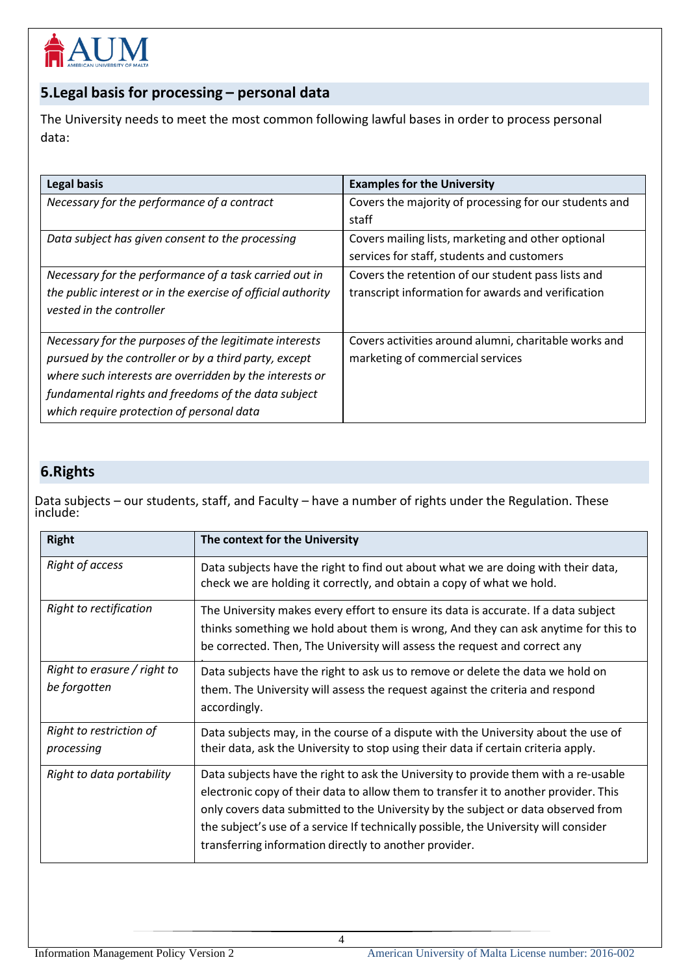

## **5.Legal basis for processing – personal data**

The University needs to meet the most common following lawful bases in order to process personal data:

| <b>Legal basis</b>                                           | <b>Examples for the University</b>                     |
|--------------------------------------------------------------|--------------------------------------------------------|
| Necessary for the performance of a contract                  | Covers the majority of processing for our students and |
|                                                              | staff                                                  |
| Data subject has given consent to the processing             | Covers mailing lists, marketing and other optional     |
|                                                              | services for staff, students and customers             |
| Necessary for the performance of a task carried out in       | Covers the retention of our student pass lists and     |
| the public interest or in the exercise of official authority | transcript information for awards and verification     |
| vested in the controller                                     |                                                        |
|                                                              |                                                        |
| Necessary for the purposes of the legitimate interests       | Covers activities around alumni, charitable works and  |
| pursued by the controller or by a third party, except        | marketing of commercial services                       |
| where such interests are overridden by the interests or      |                                                        |
| fundamental rights and freedoms of the data subject          |                                                        |
| which require protection of personal data                    |                                                        |

## **6.Rights**

Data subjects – our students, staff, and Faculty – have a number of rights under the Regulation. These include:

| <b>Right</b>                                | The context for the University                                                                                                                                                                                                                                                                                                                                                                                     |
|---------------------------------------------|--------------------------------------------------------------------------------------------------------------------------------------------------------------------------------------------------------------------------------------------------------------------------------------------------------------------------------------------------------------------------------------------------------------------|
| Right of access                             | Data subjects have the right to find out about what we are doing with their data,<br>check we are holding it correctly, and obtain a copy of what we hold.                                                                                                                                                                                                                                                         |
| Right to rectification                      | The University makes every effort to ensure its data is accurate. If a data subject<br>thinks something we hold about them is wrong, And they can ask anytime for this to<br>be corrected. Then, The University will assess the request and correct any                                                                                                                                                            |
| Right to erasure / right to<br>be forgotten | Data subjects have the right to ask us to remove or delete the data we hold on<br>them. The University will assess the request against the criteria and respond<br>accordingly.                                                                                                                                                                                                                                    |
| Right to restriction of<br>processing       | Data subjects may, in the course of a dispute with the University about the use of<br>their data, ask the University to stop using their data if certain criteria apply.                                                                                                                                                                                                                                           |
| Right to data portability                   | Data subjects have the right to ask the University to provide them with a re-usable<br>electronic copy of their data to allow them to transfer it to another provider. This<br>only covers data submitted to the University by the subject or data observed from<br>the subject's use of a service If technically possible, the University will consider<br>transferring information directly to another provider. |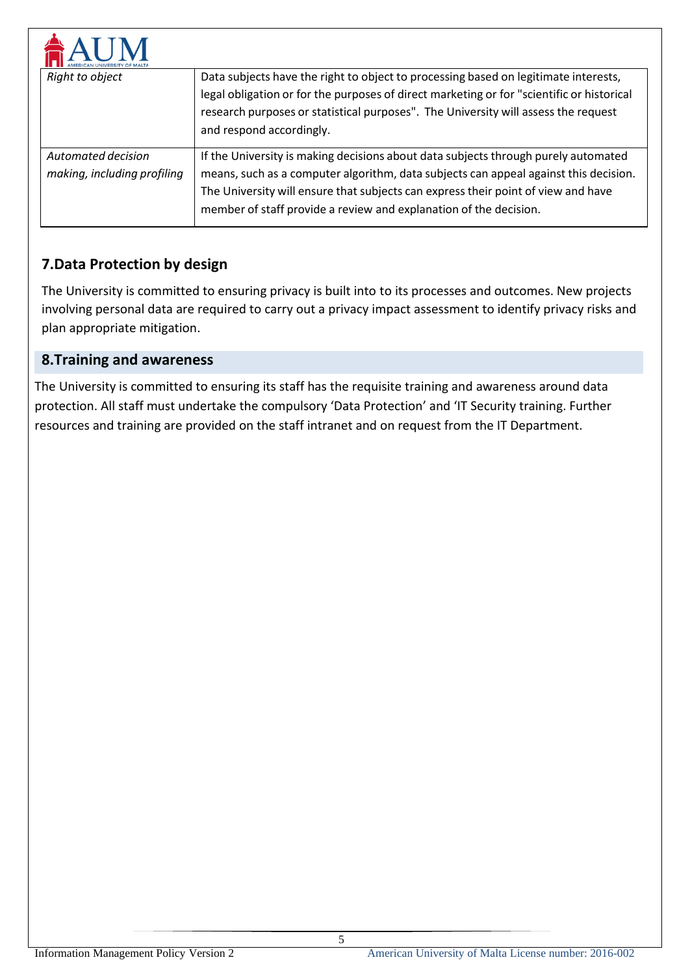| Right to object                                   | Data subjects have the right to object to processing based on legitimate interests,<br>legal obligation or for the purposes of direct marketing or for "scientific or historical<br>research purposes or statistical purposes". The University will assess the request<br>and respond accordingly.                                   |
|---------------------------------------------------|--------------------------------------------------------------------------------------------------------------------------------------------------------------------------------------------------------------------------------------------------------------------------------------------------------------------------------------|
| Automated decision<br>making, including profiling | If the University is making decisions about data subjects through purely automated<br>means, such as a computer algorithm, data subjects can appeal against this decision.<br>The University will ensure that subjects can express their point of view and have<br>member of staff provide a review and explanation of the decision. |

## **7.Data Protection by design**

The University is committed to ensuring privacy is built into to its processes and outcomes. New projects involving personal data are required to carry out a privacy impact assessment to identify privacy risks and plan appropriate mitigation.

## **8.Training and awareness**

The University is committed to ensuring its staff has the requisite training and awareness around data protection. All staff must undertake the compulsory 'Data Protection' and 'IT Security training. Further resources and training are provided on the staff intranet and on request from the IT Department.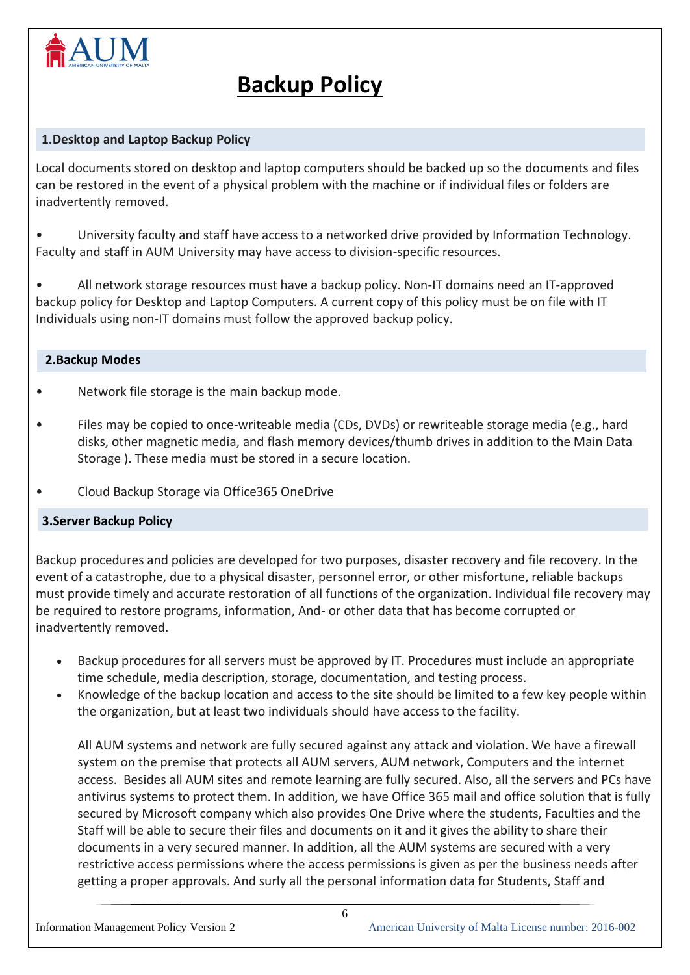

# **Backup Policy**

### **1.Desktop and Laptop Backup Policy**

Local documents stored on desktop and laptop computers should be backed up so the documents and files can be restored in the event of a physical problem with the machine or if individual files or folders are inadvertently removed.

• University faculty and staff have access to a networked drive provided by Information Technology. Faculty and staff in AUM University may have access to division-specific resources.

• All network storage resources must have a backup policy. Non-IT domains need an IT-approved backup policy for Desktop and Laptop Computers. A current copy of this policy must be on file with IT Individuals using non-IT domains must follow the approved backup policy.

### **2.Backup Modes**

- Network file storage is the main backup mode.
- Files may be copied to once-writeable media (CDs, DVDs) or rewriteable storage media (e.g., hard disks, other magnetic media, and flash memory devices/thumb drives in addition to the Main Data Storage ). These media must be stored in a secure location.
- Cloud Backup Storage via Office365 OneDrive

### **3.Server Backup Policy**

Backup procedures and policies are developed for two purposes, disaster recovery and file recovery. In the event of a catastrophe, due to a physical disaster, personnel error, or other misfortune, reliable backups must provide timely and accurate restoration of all functions of the organization. Individual file recovery may be required to restore programs, information, And- or other data that has become corrupted or inadvertently removed.

- Backup procedures for all servers must be approved by IT. Procedures must include an appropriate time schedule, media description, storage, documentation, and testing process.
- Knowledge of the backup location and access to the site should be limited to a few key people within the organization, but at least two individuals should have access to the facility.

All AUM systems and network are fully secured against any attack and violation. We have a firewall system on the premise that protects all AUM servers, AUM network, Computers and the internet access. Besides all AUM sites and remote learning are fully secured. Also, all the servers and PCs have antivirus systems to protect them. In addition, we have Office 365 mail and office solution that is fully secured by Microsoft company which also provides One Drive where the students, Faculties and the Staff will be able to secure their files and documents on it and it gives the ability to share their documents in a very secured manner. In addition, all the AUM systems are secured with a very restrictive access permissions where the access permissions is given as per the business needs after getting a proper approvals. And surly all the personal information data for Students, Staff and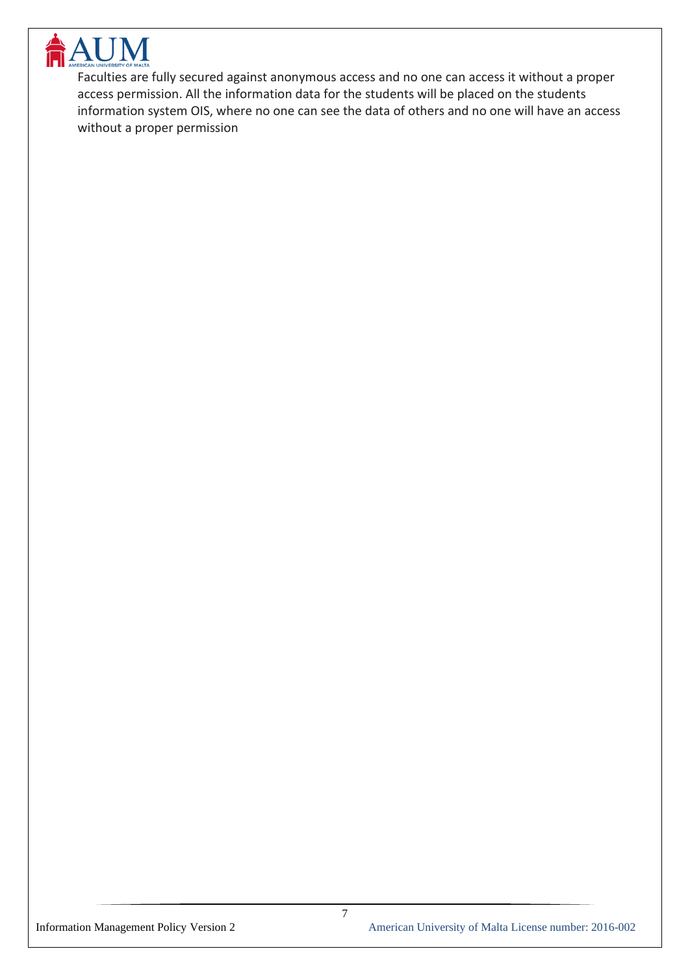

Faculties are fully secured against anonymous access and no one can access it without a proper access permission. All the information data for the students will be placed on the students information system OIS, where no one can see the data of others and no one will have an access without a proper permission

7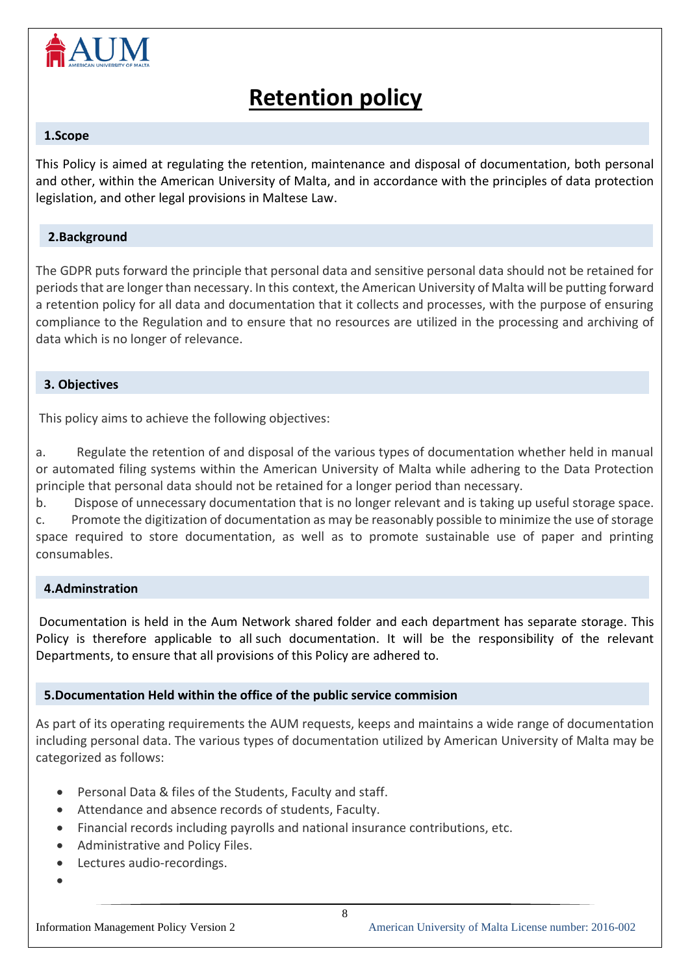

# **Retention policy**

#### **1.Scope**

This Policy is aimed at regulating the retention, maintenance and disposal of documentation, both personal and other, within the American University of Malta, and in accordance with the principles of data protection legislation, and other legal provisions in Maltese Law.

### **2.Background**

The GDPR puts forward the principle that personal data and sensitive personal data should not be retained for periods that are longer than necessary. In this context, the American University of Malta will be putting forward a retention policy for all data and documentation that it collects and processes, with the purpose of ensuring compliance to the Regulation and to ensure that no resources are utilized in the processing and archiving of data which is no longer of relevance.

### **3. Objectives**

This policy aims to achieve the following objectives:

a. Regulate the retention of and disposal of the various types of documentation whether held in manual or automated filing systems within the American University of Malta while adhering to the Data Protection principle that personal data should not be retained for a longer period than necessary.

b. Dispose of unnecessary documentation that is no longer relevant and is taking up useful storage space.

c. Promote the digitization of documentation as may be reasonably possible to minimize the use of storage space required to store documentation, as well as to promote sustainable use of paper and printing consumables.

### **4.Adminstration**

Documentation is held in the Aum Network shared folder and each department has separate storage. This Policy is therefore applicable to all such documentation. It will be the responsibility of the relevant Departments, to ensure that all provisions of this Policy are adhered to.

### **5.Documentation Held within the office of the public service commision**

As part of its operating requirements the AUM requests, keeps and maintains a wide range of documentation including personal data. The various types of documentation utilized by American University of Malta may be categorized as follows:

- Personal Data & files of the Students, Faculty and staff.
- Attendance and absence records of students, Faculty.
- Financial records including payrolls and national insurance contributions, etc.
- Administrative and Policy Files.
- Lectures audio-recordings.
- •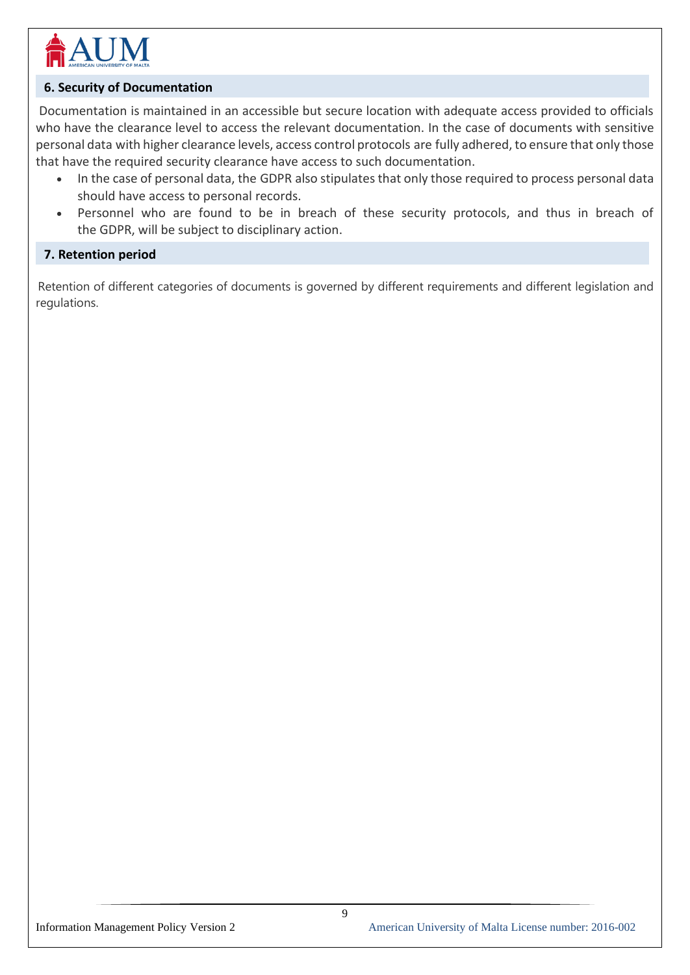

### **6. Security of Documentation**

Documentation is maintained in an accessible but secure location with adequate access provided to officials who have the clearance level to access the relevant documentation. In the case of documents with sensitive personal data with higher clearance levels, access control protocols are fully adhered, to ensure that only those that have the required security clearance have access to such documentation.

- In the case of personal data, the GDPR also stipulates that only those required to process personal data should have access to personal records.
- Personnel who are found to be in breach of these security protocols, and thus in breach of the GDPR, will be subject to disciplinary action.

### **7. Retention period**

Retention of different categories of documents is governed by different requirements and different legislation and regulations.